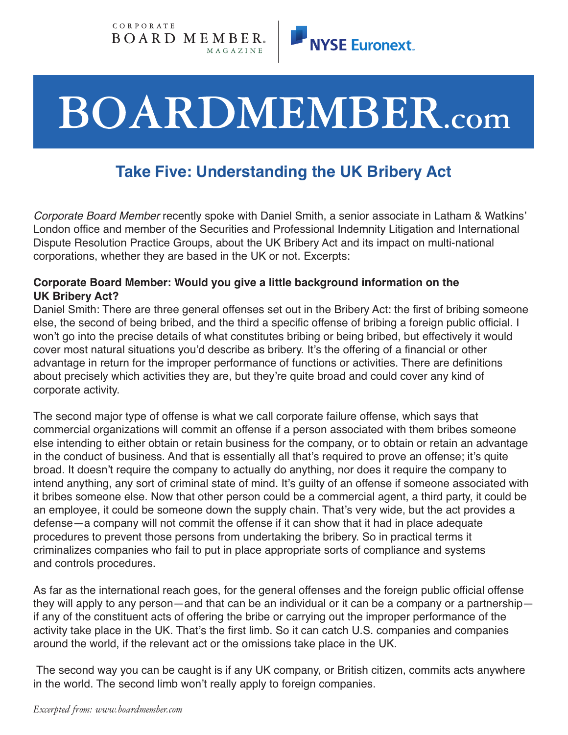



# **BOARDMEMBER.com**

# **Take Five: Understanding the UK Bribery Act**

*Corporate Board Member* recently spoke with Daniel Smith, a senior associate in Latham & Watkins' London office and member of the Securities and Professional Indemnity Litigation and International Dispute Resolution Practice Groups, about the UK Bribery Act and its impact on multi-national corporations, whether they are based in the UK or not. Excerpts:

### **Corporate Board Member: Would you give a little background information on the UK Bribery Act?**

Daniel Smith: There are three general offenses set out in the Bribery Act: the first of bribing someone else, the second of being bribed, and the third a specific offense of bribing a foreign public official. I won't go into the precise details of what constitutes bribing or being bribed, but effectively it would cover most natural situations you'd describe as bribery. It's the offering of a financial or other advantage in return for the improper performance of functions or activities. There are definitions about precisely which activities they are, but they're quite broad and could cover any kind of corporate activity.

The second major type of offense is what we call corporate failure offense, which says that commercial organizations will commit an offense if a person associated with them bribes someone else intending to either obtain or retain business for the company, or to obtain or retain an advantage in the conduct of business. And that is essentially all that's required to prove an offense; it's quite broad. It doesn't require the company to actually do anything, nor does it require the company to intend anything, any sort of criminal state of mind. It's guilty of an offense if someone associated with it bribes someone else. Now that other person could be a commercial agent, a third party, it could be an employee, it could be someone down the supply chain. That's very wide, but the act provides a defense—a company will not commit the offense if it can show that it had in place adequate procedures to prevent those persons from undertaking the bribery. So in practical terms it criminalizes companies who fail to put in place appropriate sorts of compliance and systems and controls procedures.

As far as the international reach goes, for the general offenses and the foreign public official offense they will apply to any person—and that can be an individual or it can be a company or a partnership if any of the constituent acts of offering the bribe or carrying out the improper performance of the activity take place in the UK. That's the first limb. So it can catch U.S. companies and companies around the world, if the relevant act or the omissions take place in the UK.

The second way you can be caught is if any UK company, or British citizen, commits acts anywhere in the world. The second limb won't really apply to foreign companies.